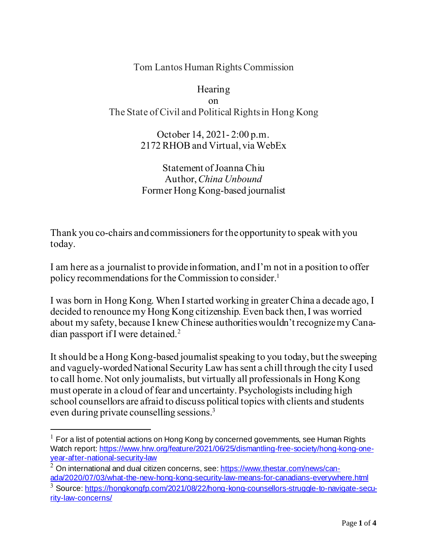Tom Lantos Human Rights Commission

Hearing

on The State of Civil and Political Rightsin Hong Kong

> October 14, 2021- 2:00 p.m. 2172 RHOBand Virtual, via WebEx

Statement ofJoanna Chiu Author,*China Unbound* Former Hong Kong-based journalist

Thank you co-chairs and commissioners for the opportunity to speak with you today.

I am here as a journalist to provide information, andI'm not in a position to offer policy recommendations for the Commission to consider.<sup>1</sup>

I was born in Hong Kong. When Istarted working in greater China a decade ago, I decided to renounce my Hong Kong citizenship. Even back then, I was worried about my safety, because I knew Chinese authoritieswouldn'trecognizemyCanadian passport ifI were detained.<sup>2</sup>

It should be a Hong Kong-based journalist speaking to you today, but the sweeping and vaguely-wordedNational Security Law hassent a chill through the city I used to call home.Not only journalists, but virtually all professionalsin Hong Kong must operate in a cloud of fear and uncertainty. Psychologists including high school counsellors are afraid to discuss political topics with clients and students even during private counselling sessions.<sup>3</sup>

 $1$  For a list of potential actions on Hong Kong by concerned governments, see Human Rights Watch report: [https://www.hrw.org/feature/2021/06/25/dismantling-free-society/hong-kong-one](https://www.hrw.org/feature/2021/06/25/dismantling-free-society/hong-kong-one-year-after-national-security-law)[year-after-national-security-law](https://www.hrw.org/feature/2021/06/25/dismantling-free-society/hong-kong-one-year-after-national-security-law)

 $2$  On international and dual citizen concerns, see: [https://www.thestar.com/news/can](https://www.thestar.com/news/canada/2020/07/03/what-the-new-hong-kong-security-law-means-for-canadians-everywhere.html)[ada/2020/07/03/what-the-new-hong-kong-security-law-means-for-canadians-everywhere.html](https://www.thestar.com/news/canada/2020/07/03/what-the-new-hong-kong-security-law-means-for-canadians-everywhere.html)

<sup>&</sup>lt;sup>3</sup> Source: [https://hongkongfp.com/2021/08/22/hong-kong-counsellors-struggle-to-navigate-secu](https://hongkongfp.com/2021/08/22/hong-kong-counsellors-struggle-to-navigate-security-law-concerns/)[rity-law-concerns/](https://hongkongfp.com/2021/08/22/hong-kong-counsellors-struggle-to-navigate-security-law-concerns/)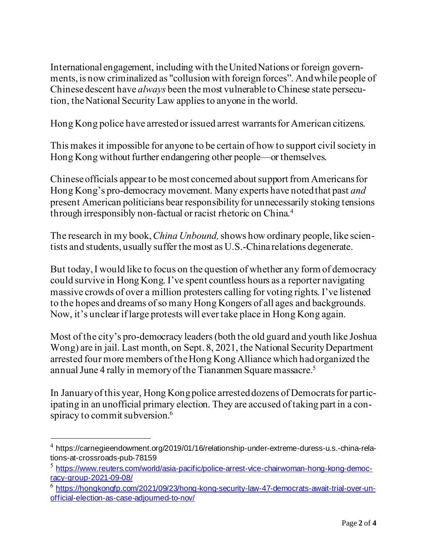International engagement, including with the UnitedNations or foreign governments, is now criminalized as "collusion with foreign forces". Andwhile people of Chinesedescent have *always* been the most vulnerable to Chinese state persecution, theNational Security Law appliesto anyone in the world.

Hong Kong police have arrestedor issued arrest warrantsfor American citizens.

This makes it impossible for anyone to be certain of how to support civil society in Hong Kong without further endangering other people—or themselves.

Chinese officials appear to be most concerned about support from Americans for Hong Kong's pro-democracy movement. Many experts have notedthat past *and* present American politicians bear responsibilityfor unnecessarily stoking tensions through irresponsibly non-factual or racist rhetoric on China.<sup>4</sup>

The research in my book,*China Unbound,*shows how ordinary people, like scientists and students, usually suffer the most as U.S.-Chinarelations degenerate.

But today,I would like to focus on the question of whether any form of democracy could survive in Hong Kong. I've spent countless hours as a reporter navigating massive crowds of over a million protesters calling for voting rights. I've listened to the hopes and dreams of so many Hong Kongers of all ages and backgrounds. Now, it's unclear if large protests will ever take place in Hong Kong again.

Most of the city's pro-democracy leaders(both the old guard and youth like Joshua Wong) are in jail. Last month, on Sept. 8, 2021, the National SecurityDepartment arrested four more members of theHong Kong Alliance which hadorganized the annual June 4 rally in memory of the Tiananmen Square massacre.<sup>5</sup>

In January of this year, Hong Kong police arrested dozens of Democrats for participating in an unofficial primary election. They are accused of taking part in a conspiracy to commit subversion.<sup>6</sup>

<sup>&</sup>lt;sup>4</sup> https://carnegieendowment.org/2019/01/16/relationship-under-extreme-duress-u.s.-china-relations-at-crossroads-pub-78159

<sup>5</sup> [https://www.reuters.com/world/asia-pacific/police-arrest-vice-chairwoman-hong-kong-democ](https://www.reuters.com/world/asia-pacific/police-arrest-vice-chairwoman-hong-kong-democracy-group-2021-09-08/)[racy-group-2021-09-08/](https://www.reuters.com/world/asia-pacific/police-arrest-vice-chairwoman-hong-kong-democracy-group-2021-09-08/)

<sup>&</sup>lt;sup>6</sup> [https://hongkongfp.com/2021/09/23/hong-kong-security-law-47-democrats-await-trial-over-un](https://hongkongfp.com/2021/09/23/hong-kong-security-law-47-democrats-await-trial-over-unofficial-election-as-case-adjourned-to-nov/)[official-election-as-case-adjourned-to-nov/](https://hongkongfp.com/2021/09/23/hong-kong-security-law-47-democrats-await-trial-over-unofficial-election-as-case-adjourned-to-nov/)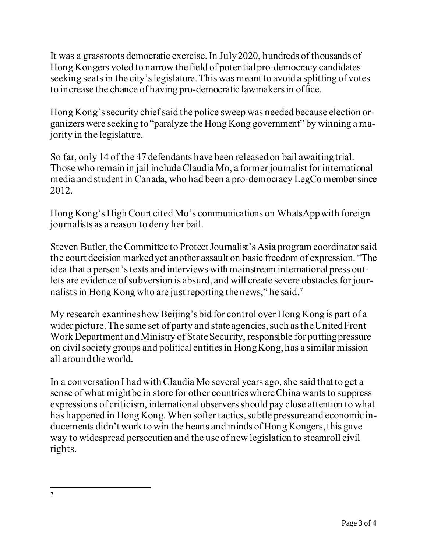It was a grassroots democratic exercise.In July2020, hundreds of thousands of Hong Kongers voted to narrow the field of potential pro-democracy candidates seeking seats in the city's legislature. This was meant to avoid a splitting of votes to increase the chance of having pro-democratic lawmakersin office.

Hong Kong's security chief said the police sweep was needed because election organizers were seeking to"paralyze the Hong Kong government" by winning a majority in the legislature.

So far, only 14 of the 47 defendants have been releasedon bail awaitingtrial. Those who remain in jail include Claudia Mo, a former journalist for international media and student in Canada, who had been a pro-democracy LegCo membersince 2012.

Hong Kong's High Court cited Mo's communications on WhatsApp with foreign journalists as a reason to deny her bail.

Steven Butler, the Committee to Protect Journalist's Asia program coordinator said the court decision markedyet another assault on basic freedom of expression. "The idea that a person'stexts and interviews with mainstream international press outlets are evidence of subversion is absurd, and will create severe obstacles for journalists in Hong Kong who are just reporting thenews," he said.<sup>7</sup>

My research examineshow Beijing'sbid for control over Hong Kong is part of a wider picture. The same set of party and state agencies, such as the United Front Work Department and Ministry of State Security, responsible for putting pressure on civil society groups and political entities in Hong Kong, has a similar mission all aroundthe world.

In a conversation I had with Claudia Mo several years ago, she said that to get a sense of what might be in store for other countries where China wants to suppress expressions of criticism, internationalobserversshould pay close attention to what has happened in Hong Kong. When softer tactics, subtle pressure and economic inducements didn't work to win the hearts and minds of Hong Kongers, this gave way to widespread persecution and the useof new legislation to steamroll civil rights.

<sup>7</sup>